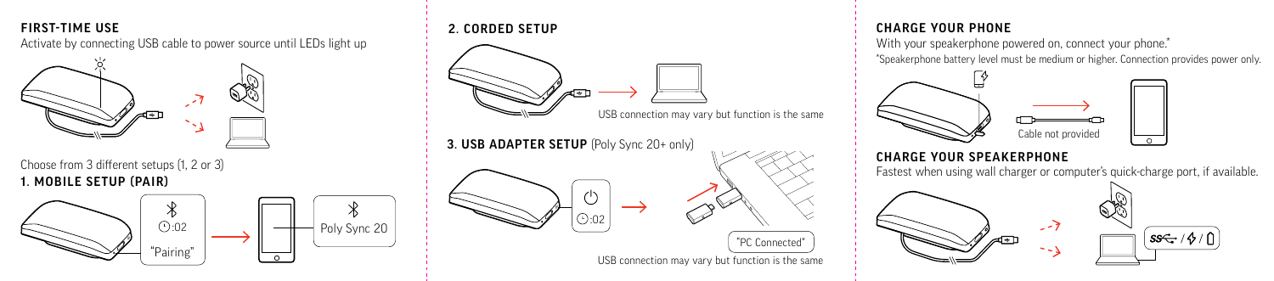# **EIRST-TIME USE** 2. CO

Activate by connecting USB cable to power source until LEDs light up



Choose from 3 different setups (1, 2 or 3) **Daisy Chain / Link Lock Computer Camera** 1. MOBILE SETUP (PAIR)



#### 2. CORDED SETUP **Settings Check / Delete**

**Charging/Battery**

**Blutooth**



#### CHARGE YOUR PHONE **Phone**

\*Speakerphone battery level must be medium or higher. Connection provides power only. With your speakerphone powered on, connect your phone.<sup>\*</sup>



# **Blutooth**

## **CHARGE YOUR SPEAKERPHONE**

Fastest when using wall charger or computer's quick-charge port, if available.